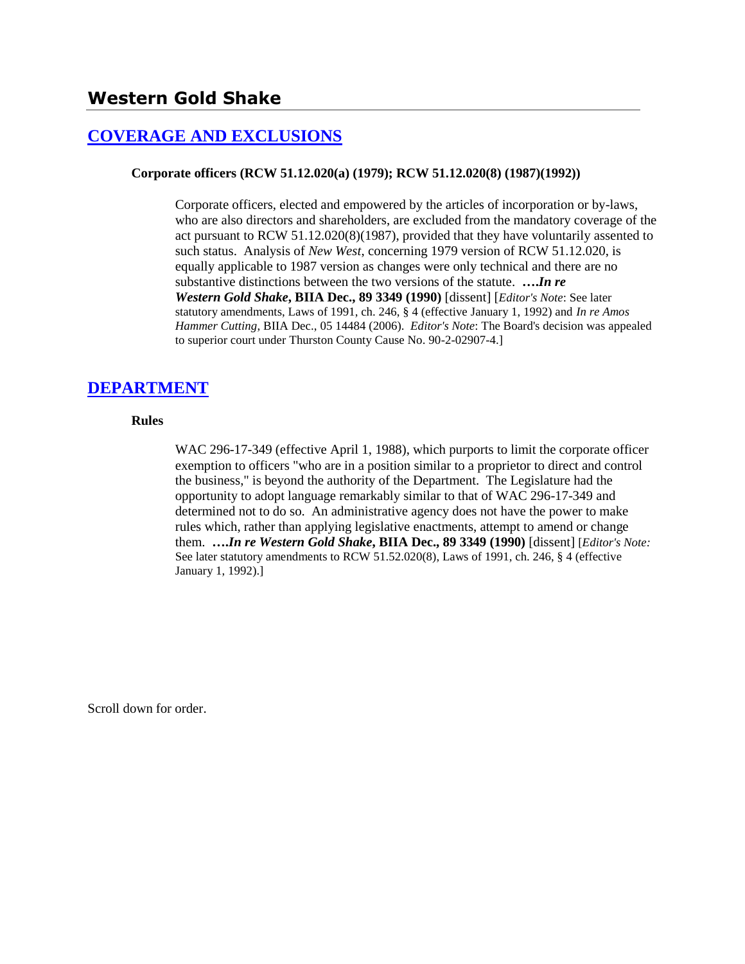# **[COVERAGE AND EXCLUSIONS](http://www.biia.wa.gov/SDSubjectIndex.html#COVERAGE_AND_EXCLUSIONS)**

### **Corporate officers (RCW 51.12.020(a) (1979); RCW 51.12.020(8) (1987)(1992))**

Corporate officers, elected and empowered by the articles of incorporation or by-laws, who are also directors and shareholders, are excluded from the mandatory coverage of the act pursuant to RCW 51.12.020(8)(1987), provided that they have voluntarily assented to such status. Analysis of *New West*, concerning 1979 version of RCW 51.12.020, is equally applicable to 1987 version as changes were only technical and there are no substantive distinctions between the two versions of the statute. **….***In re Western Gold Shake***, BIIA Dec., 89 3349 (1990)** [dissent] [*Editor's Note*: See later statutory amendments, Laws of 1991, ch. 246, § 4 (effective January 1, 1992) and *In re Amos Hammer Cutting*, BIIA Dec., 05 14484 (2006). *Editor's Note*: The Board's decision was appealed to superior court under Thurston County Cause No. 90-2-02907-4.]

# **[DEPARTMENT](http://www.biia.wa.gov/SDSubjectIndex.html#DEPARTMENT)**

### **Rules**

WAC 296-17-349 (effective April 1, 1988), which purports to limit the corporate officer exemption to officers "who are in a position similar to a proprietor to direct and control the business," is beyond the authority of the Department. The Legislature had the opportunity to adopt language remarkably similar to that of WAC 296-17-349 and determined not to do so. An administrative agency does not have the power to make rules which, rather than applying legislative enactments, attempt to amend or change them. **….***In re Western Gold Shake***, BIIA Dec., 89 3349 (1990)** [dissent] [*Editor's Note:* See later statutory amendments to RCW 51.52.020(8), Laws of 1991, ch. 246, § 4 (effective January 1, 1992).]

Scroll down for order.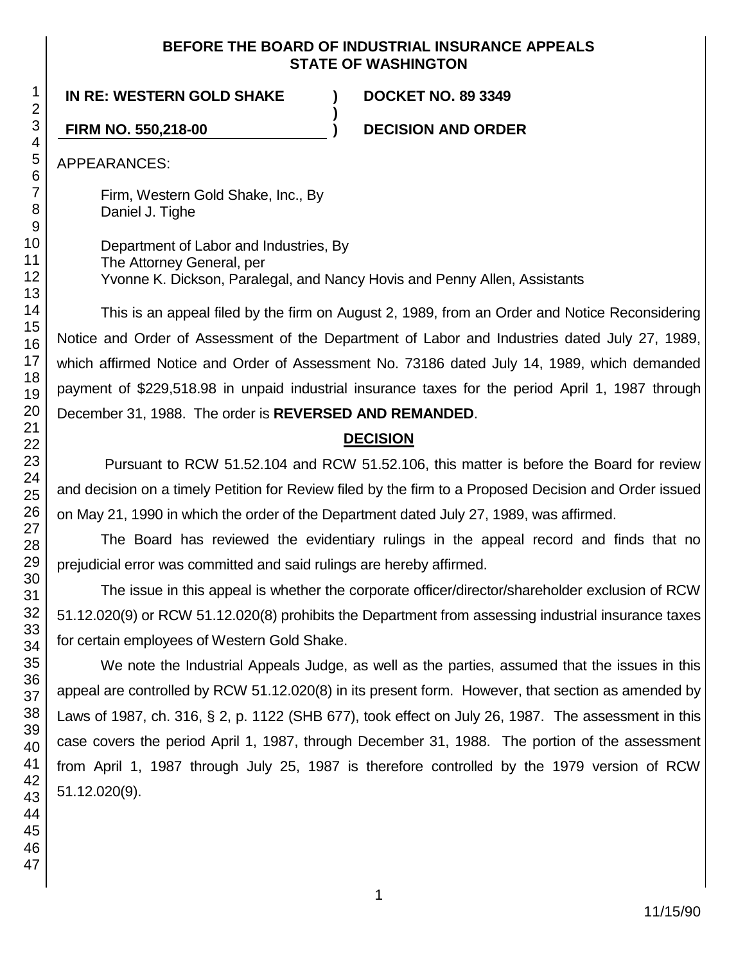## **BEFORE THE BOARD OF INDUSTRIAL INSURANCE APPEALS STATE OF WASHINGTON**

# **IN RE: WESTERN GOLD SHAKE ) DOCKET NO. 89 3349**

**FIRM NO. 550,218-00 ) DECISION AND ORDER**

APPEARANCES:

Firm, Western Gold Shake, Inc., By Daniel J. Tighe

Department of Labor and Industries, By The Attorney General, per Yvonne K. Dickson, Paralegal, and Nancy Hovis and Penny Allen, Assistants

**)**

This is an appeal filed by the firm on August 2, 1989, from an Order and Notice Reconsidering Notice and Order of Assessment of the Department of Labor and Industries dated July 27, 1989, which affirmed Notice and Order of Assessment No. 73186 dated July 14, 1989, which demanded payment of \$229,518.98 in unpaid industrial insurance taxes for the period April 1, 1987 through December 31, 1988. The order is **REVERSED AND REMANDED**.

# **DECISION**

Pursuant to RCW 51.52.104 and RCW 51.52.106, this matter is before the Board for review and decision on a timely Petition for Review filed by the firm to a Proposed Decision and Order issued on May 21, 1990 in which the order of the Department dated July 27, 1989, was affirmed.

The Board has reviewed the evidentiary rulings in the appeal record and finds that no prejudicial error was committed and said rulings are hereby affirmed.

The issue in this appeal is whether the corporate officer/director/shareholder exclusion of RCW 51.12.020(9) or RCW 51.12.020(8) prohibits the Department from assessing industrial insurance taxes for certain employees of Western Gold Shake.

We note the Industrial Appeals Judge, as well as the parties, assumed that the issues in this appeal are controlled by RCW 51.12.020(8) in its present form. However, that section as amended by Laws of 1987, ch. 316, § 2, p. 1122 (SHB 677), took effect on July 26, 1987. The assessment in this case covers the period April 1, 1987, through December 31, 1988. The portion of the assessment from April 1, 1987 through July 25, 1987 is therefore controlled by the 1979 version of RCW 51.12.020(9).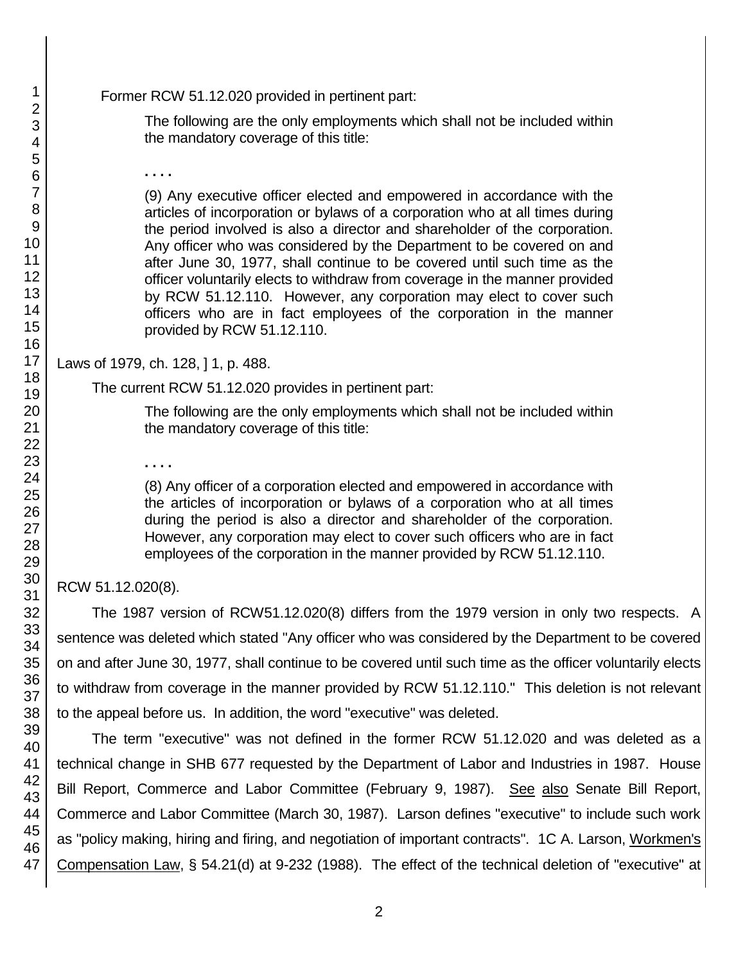Former RCW 51.12.020 provided in pertinent part:

The following are the only employments which shall not be included within the mandatory coverage of this title:

**. . . .**

(9) Any executive officer elected and empowered in accordance with the articles of incorporation or bylaws of a corporation who at all times during the period involved is also a director and shareholder of the corporation. Any officer who was considered by the Department to be covered on and after June 30, 1977, shall continue to be covered until such time as the officer voluntarily elects to withdraw from coverage in the manner provided by RCW 51.12.110. However, any corporation may elect to cover such officers who are in fact employees of the corporation in the manner provided by RCW 51.12.110.

Laws of 1979, ch. 128, ] 1, p. 488.

The current RCW 51.12.020 provides in pertinent part:

The following are the only employments which shall not be included within the mandatory coverage of this title:

**. . . .**

(8) Any officer of a corporation elected and empowered in accordance with the articles of incorporation or bylaws of a corporation who at all times during the period is also a director and shareholder of the corporation. However, any corporation may elect to cover such officers who are in fact employees of the corporation in the manner provided by RCW 51.12.110.

RCW 51.12.020(8).

The 1987 version of RCW51.12.020(8) differs from the 1979 version in only two respects. A sentence was deleted which stated "Any officer who was considered by the Department to be covered on and after June 30, 1977, shall continue to be covered until such time as the officer voluntarily elects to withdraw from coverage in the manner provided by RCW 51.12.110." This deletion is not relevant to the appeal before us. In addition, the word "executive" was deleted.

The term "executive" was not defined in the former RCW 51.12.020 and was deleted as a technical change in SHB 677 requested by the Department of Labor and Industries in 1987. House Bill Report, Commerce and Labor Committee (February 9, 1987). See also Senate Bill Report, Commerce and Labor Committee (March 30, 1987). Larson defines "executive" to include such work as "policy making, hiring and firing, and negotiation of important contracts". 1C A. Larson, Workmen's Compensation Law, § 54.21(d) at 9-232 (1988). The effect of the technical deletion of "executive" at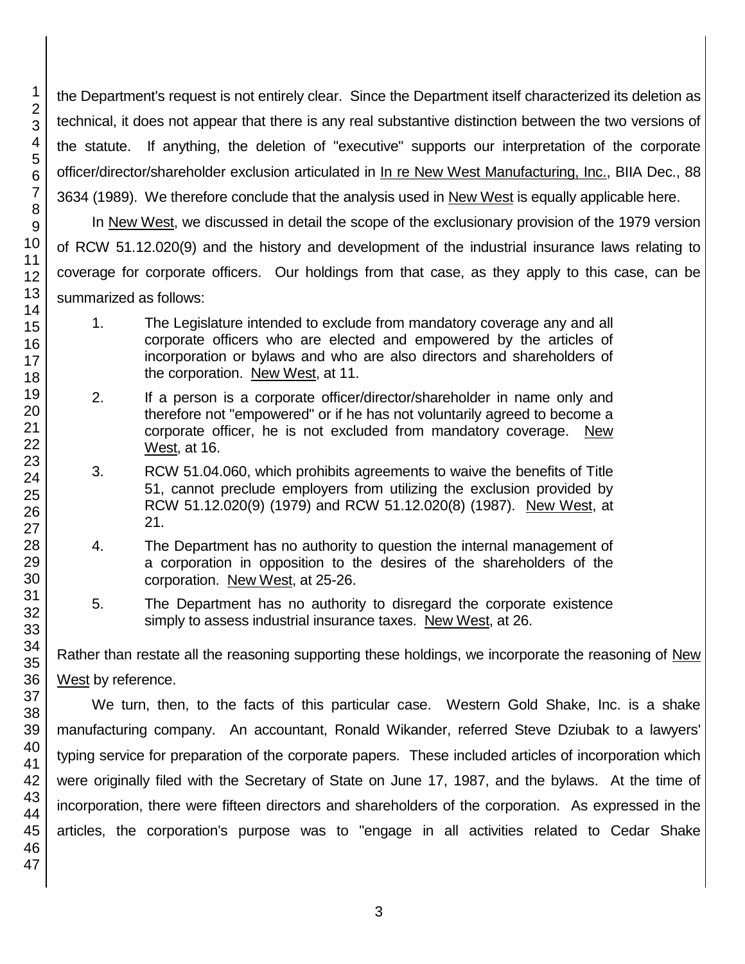the Department's request is not entirely clear. Since the Department itself characterized its deletion as technical, it does not appear that there is any real substantive distinction between the two versions of the statute. If anything, the deletion of "executive" supports our interpretation of the corporate officer/director/shareholder exclusion articulated in In re New West Manufacturing, Inc., BIIA Dec., 88 3634 (1989). We therefore conclude that the analysis used in New West is equally applicable here.

In New West, we discussed in detail the scope of the exclusionary provision of the 1979 version of RCW 51.12.020(9) and the history and development of the industrial insurance laws relating to coverage for corporate officers. Our holdings from that case, as they apply to this case, can be summarized as follows:

- 1. The Legislature intended to exclude from mandatory coverage any and all corporate officers who are elected and empowered by the articles of incorporation or bylaws and who are also directors and shareholders of the corporation. New West, at 11.
- 2. If a person is a corporate officer/director/shareholder in name only and therefore not "empowered" or if he has not voluntarily agreed to become a corporate officer, he is not excluded from mandatory coverage. New West, at 16.
- 3. RCW 51.04.060, which prohibits agreements to waive the benefits of Title 51, cannot preclude employers from utilizing the exclusion provided by RCW 51.12.020(9) (1979) and RCW 51.12.020(8) (1987). New West, at 21.
- 4. The Department has no authority to question the internal management of a corporation in opposition to the desires of the shareholders of the corporation. New West, at 25-26.
- 5. The Department has no authority to disregard the corporate existence simply to assess industrial insurance taxes. New West, at 26.

Rather than restate all the reasoning supporting these holdings, we incorporate the reasoning of New West by reference.

We turn, then, to the facts of this particular case. Western Gold Shake, Inc. is a shake manufacturing company. An accountant, Ronald Wikander, referred Steve Dziubak to a lawyers' typing service for preparation of the corporate papers. These included articles of incorporation which were originally filed with the Secretary of State on June 17, 1987, and the bylaws. At the time of incorporation, there were fifteen directors and shareholders of the corporation. As expressed in the articles, the corporation's purpose was to "engage in all activities related to Cedar Shake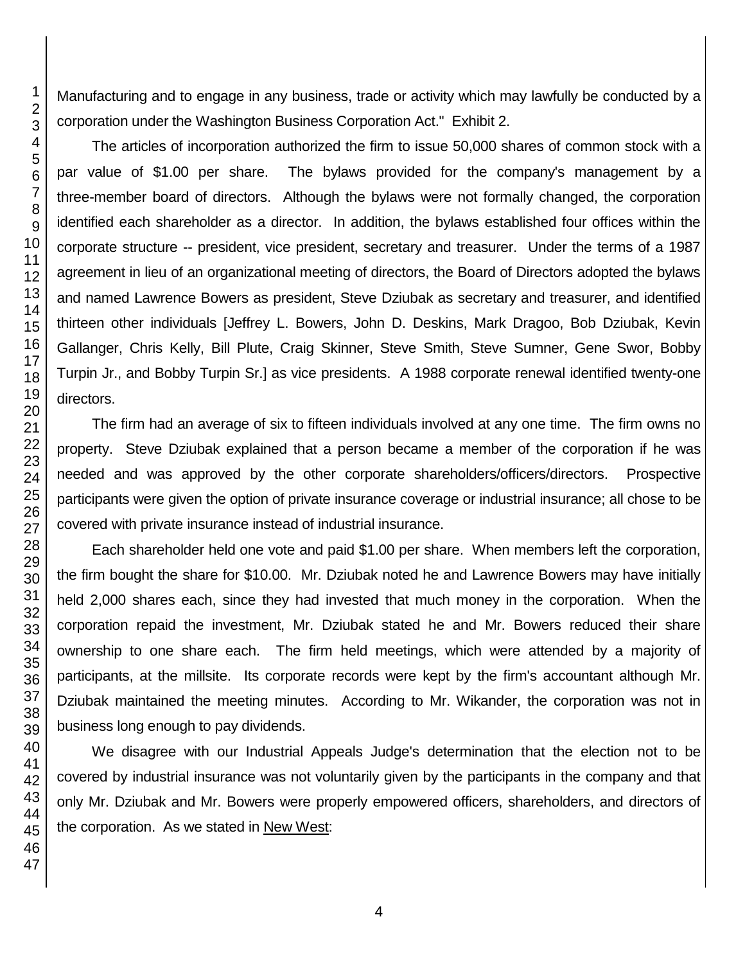Manufacturing and to engage in any business, trade or activity which may lawfully be conducted by a corporation under the Washington Business Corporation Act." Exhibit 2.

The articles of incorporation authorized the firm to issue 50,000 shares of common stock with a par value of \$1.00 per share. The bylaws provided for the company's management by a three-member board of directors. Although the bylaws were not formally changed, the corporation identified each shareholder as a director. In addition, the bylaws established four offices within the corporate structure -- president, vice president, secretary and treasurer. Under the terms of a 1987 agreement in lieu of an organizational meeting of directors, the Board of Directors adopted the bylaws and named Lawrence Bowers as president, Steve Dziubak as secretary and treasurer, and identified thirteen other individuals [Jeffrey L. Bowers, John D. Deskins, Mark Dragoo, Bob Dziubak, Kevin Gallanger, Chris Kelly, Bill Plute, Craig Skinner, Steve Smith, Steve Sumner, Gene Swor, Bobby Turpin Jr., and Bobby Turpin Sr.] as vice presidents. A 1988 corporate renewal identified twenty-one directors.

The firm had an average of six to fifteen individuals involved at any one time. The firm owns no property. Steve Dziubak explained that a person became a member of the corporation if he was needed and was approved by the other corporate shareholders/officers/directors. Prospective participants were given the option of private insurance coverage or industrial insurance; all chose to be covered with private insurance instead of industrial insurance.

Each shareholder held one vote and paid \$1.00 per share. When members left the corporation, the firm bought the share for \$10.00. Mr. Dziubak noted he and Lawrence Bowers may have initially held 2,000 shares each, since they had invested that much money in the corporation. When the corporation repaid the investment, Mr. Dziubak stated he and Mr. Bowers reduced their share ownership to one share each. The firm held meetings, which were attended by a majority of participants, at the millsite. Its corporate records were kept by the firm's accountant although Mr. Dziubak maintained the meeting minutes. According to Mr. Wikander, the corporation was not in business long enough to pay dividends.

We disagree with our Industrial Appeals Judge's determination that the election not to be covered by industrial insurance was not voluntarily given by the participants in the company and that only Mr. Dziubak and Mr. Bowers were properly empowered officers, shareholders, and directors of the corporation. As we stated in New West: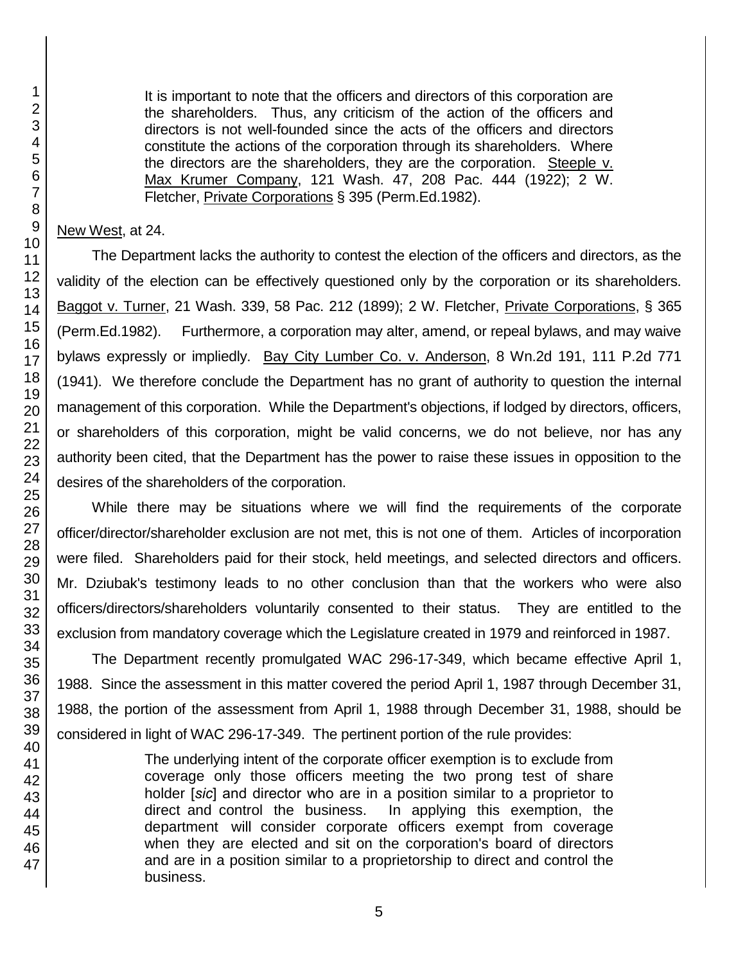It is important to note that the officers and directors of this corporation are the shareholders. Thus, any criticism of the action of the officers and directors is not well-founded since the acts of the officers and directors constitute the actions of the corporation through its shareholders. Where the directors are the shareholders, they are the corporation. Steeple v. Max Krumer Company, 121 Wash. 47, 208 Pac. 444 (1922); 2 W. Fletcher, Private Corporations § 395 (Perm.Ed.1982).

## New West, at 24.

The Department lacks the authority to contest the election of the officers and directors, as the validity of the election can be effectively questioned only by the corporation or its shareholders. Baggot v. Turner, 21 Wash. 339, 58 Pac. 212 (1899); 2 W. Fletcher, Private Corporations, § 365 (Perm.Ed.1982). Furthermore, a corporation may alter, amend, or repeal bylaws, and may waive bylaws expressly or impliedly. Bay City Lumber Co. v. Anderson, 8 Wn.2d 191, 111 P.2d 771 (1941). We therefore conclude the Department has no grant of authority to question the internal management of this corporation. While the Department's objections, if lodged by directors, officers, or shareholders of this corporation, might be valid concerns, we do not believe, nor has any authority been cited, that the Department has the power to raise these issues in opposition to the desires of the shareholders of the corporation.

While there may be situations where we will find the requirements of the corporate officer/director/shareholder exclusion are not met, this is not one of them. Articles of incorporation were filed. Shareholders paid for their stock, held meetings, and selected directors and officers. Mr. Dziubak's testimony leads to no other conclusion than that the workers who were also officers/directors/shareholders voluntarily consented to their status. They are entitled to the exclusion from mandatory coverage which the Legislature created in 1979 and reinforced in 1987.

The Department recently promulgated WAC 296-17-349, which became effective April 1, 1988. Since the assessment in this matter covered the period April 1, 1987 through December 31, 1988, the portion of the assessment from April 1, 1988 through December 31, 1988, should be considered in light of WAC 296-17-349. The pertinent portion of the rule provides:

> The underlying intent of the corporate officer exemption is to exclude from coverage only those officers meeting the two prong test of share holder [*sic*] and director who are in a position similar to a proprietor to direct and control the business. In applying this exemption, the department will consider corporate officers exempt from coverage when they are elected and sit on the corporation's board of directors and are in a position similar to a proprietorship to direct and control the business.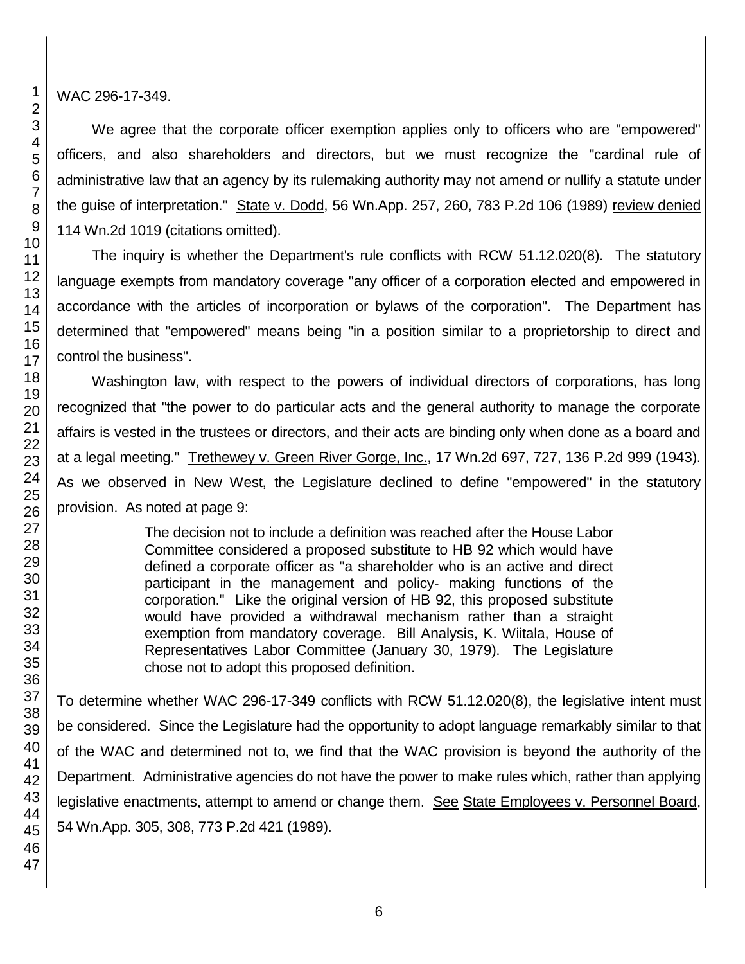WAC 296-17-349.

We agree that the corporate officer exemption applies only to officers who are "empowered" officers, and also shareholders and directors, but we must recognize the "cardinal rule of administrative law that an agency by its rulemaking authority may not amend or nullify a statute under the guise of interpretation." State v. Dodd, 56 Wn.App. 257, 260, 783 P.2d 106 (1989) review denied 114 Wn.2d 1019 (citations omitted).

The inquiry is whether the Department's rule conflicts with RCW 51.12.020(8). The statutory language exempts from mandatory coverage "any officer of a corporation elected and empowered in accordance with the articles of incorporation or bylaws of the corporation". The Department has determined that "empowered" means being "in a position similar to a proprietorship to direct and control the business".

Washington law, with respect to the powers of individual directors of corporations, has long recognized that "the power to do particular acts and the general authority to manage the corporate affairs is vested in the trustees or directors, and their acts are binding only when done as a board and at a legal meeting." Trethewey v. Green River Gorge, Inc., 17 Wn.2d 697, 727, 136 P.2d 999 (1943). As we observed in New West, the Legislature declined to define "empowered" in the statutory provision. As noted at page 9:

> The decision not to include a definition was reached after the House Labor Committee considered a proposed substitute to HB 92 which would have defined a corporate officer as "a shareholder who is an active and direct participant in the management and policy- making functions of the corporation." Like the original version of HB 92, this proposed substitute would have provided a withdrawal mechanism rather than a straight exemption from mandatory coverage. Bill Analysis, K. Wiitala, House of Representatives Labor Committee (January 30, 1979). The Legislature chose not to adopt this proposed definition.

To determine whether WAC 296-17-349 conflicts with RCW 51.12.020(8), the legislative intent must be considered. Since the Legislature had the opportunity to adopt language remarkably similar to that of the WAC and determined not to, we find that the WAC provision is beyond the authority of the Department. Administrative agencies do not have the power to make rules which, rather than applying legislative enactments, attempt to amend or change them. See State Employees v. Personnel Board, 54 Wn.App. 305, 308, 773 P.2d 421 (1989).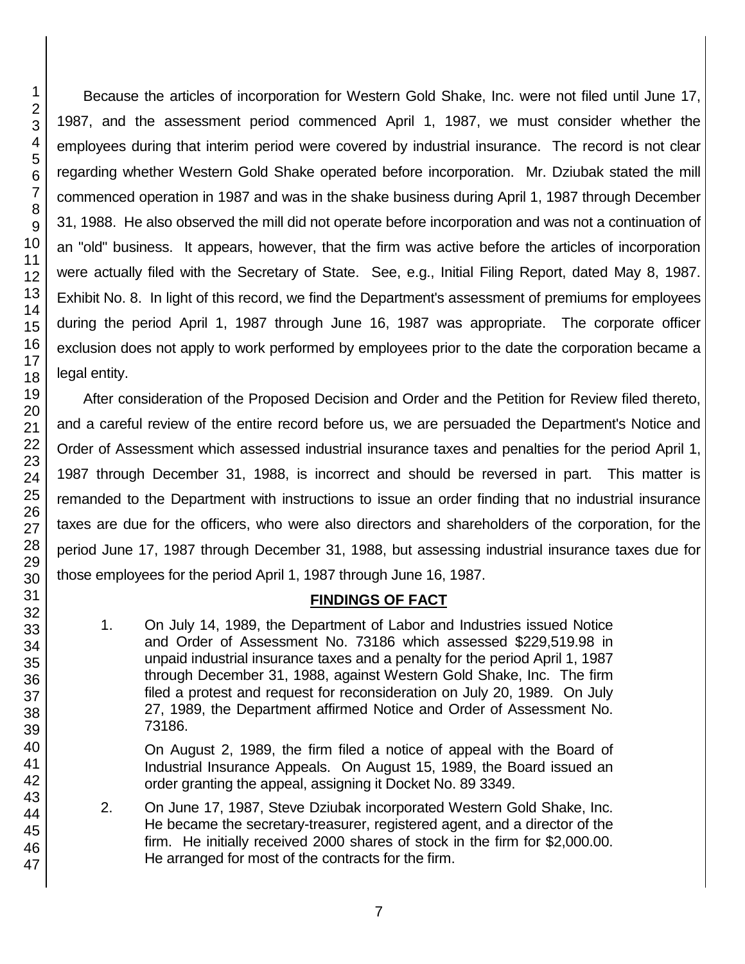Because the articles of incorporation for Western Gold Shake, Inc. were not filed until June 17, 1987, and the assessment period commenced April 1, 1987, we must consider whether the employees during that interim period were covered by industrial insurance. The record is not clear regarding whether Western Gold Shake operated before incorporation. Mr. Dziubak stated the mill commenced operation in 1987 and was in the shake business during April 1, 1987 through December 31, 1988. He also observed the mill did not operate before incorporation and was not a continuation of an "old" business. It appears, however, that the firm was active before the articles of incorporation were actually filed with the Secretary of State. See, e.g., Initial Filing Report, dated May 8, 1987. Exhibit No. 8. In light of this record, we find the Department's assessment of premiums for employees during the period April 1, 1987 through June 16, 1987 was appropriate. The corporate officer exclusion does not apply to work performed by employees prior to the date the corporation became a legal entity.

After consideration of the Proposed Decision and Order and the Petition for Review filed thereto, and a careful review of the entire record before us, we are persuaded the Department's Notice and Order of Assessment which assessed industrial insurance taxes and penalties for the period April 1, 1987 through December 31, 1988, is incorrect and should be reversed in part. This matter is remanded to the Department with instructions to issue an order finding that no industrial insurance taxes are due for the officers, who were also directors and shareholders of the corporation, for the period June 17, 1987 through December 31, 1988, but assessing industrial insurance taxes due for those employees for the period April 1, 1987 through June 16, 1987.

### **FINDINGS OF FACT**

1. On July 14, 1989, the Department of Labor and Industries issued Notice and Order of Assessment No. 73186 which assessed \$229,519.98 in unpaid industrial insurance taxes and a penalty for the period April 1, 1987 through December 31, 1988, against Western Gold Shake, Inc. The firm filed a protest and request for reconsideration on July 20, 1989. On July 27, 1989, the Department affirmed Notice and Order of Assessment No. 73186.

On August 2, 1989, the firm filed a notice of appeal with the Board of Industrial Insurance Appeals. On August 15, 1989, the Board issued an order granting the appeal, assigning it Docket No. 89 3349.

2. On June 17, 1987, Steve Dziubak incorporated Western Gold Shake, Inc. He became the secretary-treasurer, registered agent, and a director of the firm. He initially received 2000 shares of stock in the firm for \$2,000.00. He arranged for most of the contracts for the firm.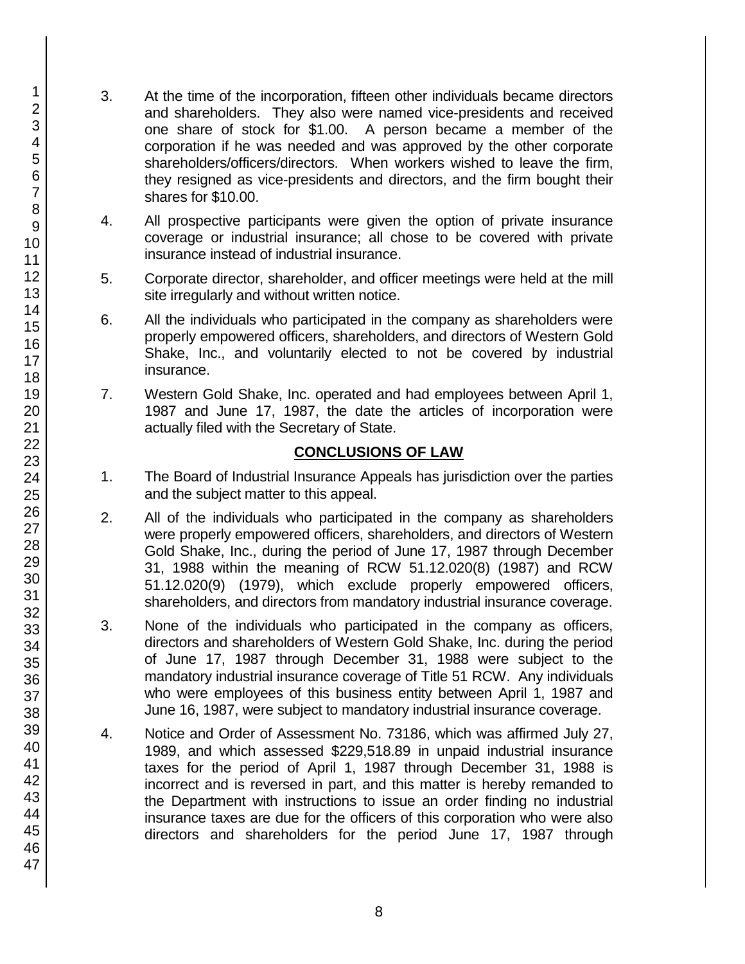- 3. At the time of the incorporation, fifteen other individuals became directors and shareholders. They also were named vice-presidents and received one share of stock for \$1.00. A person became a member of the corporation if he was needed and was approved by the other corporate shareholders/officers/directors. When workers wished to leave the firm, they resigned as vice-presidents and directors, and the firm bought their shares for \$10.00.
- 4. All prospective participants were given the option of private insurance coverage or industrial insurance; all chose to be covered with private insurance instead of industrial insurance.
- 5. Corporate director, shareholder, and officer meetings were held at the mill site irregularly and without written notice.
- 6. All the individuals who participated in the company as shareholders were properly empowered officers, shareholders, and directors of Western Gold Shake, Inc., and voluntarily elected to not be covered by industrial insurance.
- 7. Western Gold Shake, Inc. operated and had employees between April 1, 1987 and June 17, 1987, the date the articles of incorporation were actually filed with the Secretary of State.

# **CONCLUSIONS OF LAW**

- 1. The Board of Industrial Insurance Appeals has jurisdiction over the parties and the subject matter to this appeal.
- 2. All of the individuals who participated in the company as shareholders were properly empowered officers, shareholders, and directors of Western Gold Shake, Inc., during the period of June 17, 1987 through December 31, 1988 within the meaning of RCW 51.12.020(8) (1987) and RCW 51.12.020(9) (1979), which exclude properly empowered officers, shareholders, and directors from mandatory industrial insurance coverage.
- 3. None of the individuals who participated in the company as officers, directors and shareholders of Western Gold Shake, Inc. during the period of June 17, 1987 through December 31, 1988 were subject to the mandatory industrial insurance coverage of Title 51 RCW. Any individuals who were employees of this business entity between April 1, 1987 and June 16, 1987, were subject to mandatory industrial insurance coverage.
- 4. Notice and Order of Assessment No. 73186, which was affirmed July 27, 1989, and which assessed \$229,518.89 in unpaid industrial insurance taxes for the period of April 1, 1987 through December 31, 1988 is incorrect and is reversed in part, and this matter is hereby remanded to the Department with instructions to issue an order finding no industrial insurance taxes are due for the officers of this corporation who were also directors and shareholders for the period June 17, 1987 through